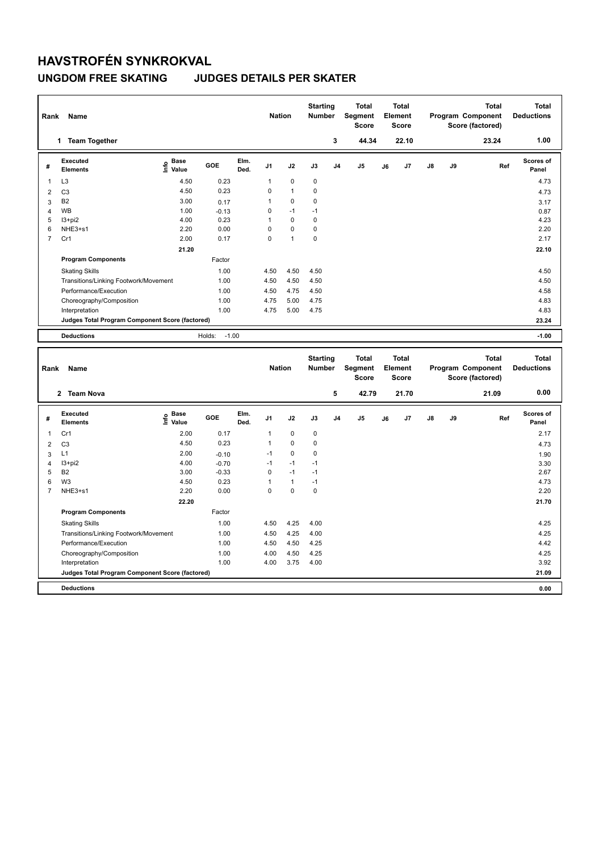## **HAVSTROFÉN SYNKROKVAL**

### **UNGDOM FREE SKATING JUDGES DETAILS PER SKATER**

| Rank           | Name                                                           |                                  |                   |              | <b>Nation</b> |              | <b>Starting</b><br><b>Number</b> |                | <b>Total</b><br>Segment<br>Score               |    | <b>Total</b><br>Element<br><b>Score</b> |    |    | <b>Total</b><br>Program Component<br>Score (factored) | <b>Total</b><br><b>Deductions</b> |
|----------------|----------------------------------------------------------------|----------------------------------|-------------------|--------------|---------------|--------------|----------------------------------|----------------|------------------------------------------------|----|-----------------------------------------|----|----|-------------------------------------------------------|-----------------------------------|
|                | 1 Team Together                                                |                                  |                   |              |               |              |                                  | 3              | 44.34                                          |    | 22.10                                   |    |    | 23.24                                                 | 1.00                              |
| #              | Executed<br><b>Elements</b>                                    | <b>Base</b><br>e Base<br>⊆ Value | GOE               | Elm.<br>Ded. | J1            | J2           | J3                               | J4             | J <sub>5</sub>                                 | J6 | J7                                      | J8 | J9 | Ref                                                   | Scores of<br>Panel                |
| 1              | L <sub>3</sub>                                                 | 4.50                             | 0.23              |              | 1             | 0            | 0                                |                |                                                |    |                                         |    |    |                                                       | 4.73                              |
| $\overline{2}$ | C <sub>3</sub>                                                 | 4.50                             | 0.23              |              | 0             | $\mathbf{1}$ | 0                                |                |                                                |    |                                         |    |    |                                                       | 4.73                              |
| 3              | <b>B2</b>                                                      | 3.00                             | 0.17              |              | $\mathbf{1}$  | 0            | 0                                |                |                                                |    |                                         |    |    |                                                       | 3.17                              |
| $\overline{4}$ | <b>WB</b>                                                      | 1.00                             | $-0.13$           |              | $\mathbf 0$   | $-1$         | $-1$                             |                |                                                |    |                                         |    |    |                                                       | 0.87                              |
| 5              | $13 + pi2$                                                     | 4.00                             | 0.23              |              | $\mathbf{1}$  | $\mathbf 0$  | 0                                |                |                                                |    |                                         |    |    |                                                       | 4.23                              |
| 6              | NHE3+s1                                                        | 2.20                             | 0.00              |              | $\mathbf 0$   | $\mathbf 0$  | 0                                |                |                                                |    |                                         |    |    |                                                       | 2.20                              |
| $\overline{7}$ | Cr1                                                            | 2.00                             | 0.17              |              | $\Omega$      | $\mathbf{1}$ | $\mathbf 0$                      |                |                                                |    |                                         |    |    |                                                       | 2.17                              |
|                |                                                                | 21.20                            |                   |              |               |              |                                  |                |                                                |    |                                         |    |    |                                                       | 22.10                             |
|                | <b>Program Components</b>                                      |                                  | Factor            |              |               |              |                                  |                |                                                |    |                                         |    |    |                                                       |                                   |
|                | <b>Skating Skills</b>                                          |                                  | 1.00              |              | 4.50          | 4.50         | 4.50                             |                |                                                |    |                                         |    |    |                                                       | 4.50                              |
|                | Transitions/Linking Footwork/Movement                          |                                  | 1.00              |              | 4.50          | 4.50         | 4.50                             |                |                                                |    |                                         |    |    |                                                       | 4.50                              |
|                | Performance/Execution                                          |                                  | 1.00              |              | 4.50          | 4.75         | 4.50                             |                |                                                |    |                                         |    |    |                                                       | 4.58                              |
|                | Choreography/Composition                                       |                                  | 1.00              |              | 4.75          | 5.00         | 4.75                             |                |                                                |    |                                         |    |    |                                                       | 4.83                              |
|                | Interpretation                                                 |                                  | 1.00              |              | 4.75          | 5.00         | 4.75                             |                |                                                |    |                                         |    |    |                                                       | 4.83                              |
|                | Judges Total Program Component Score (factored)                |                                  |                   |              |               |              |                                  |                |                                                |    |                                         |    |    |                                                       | 23.24                             |
|                | <b>Deductions</b>                                              |                                  | $-1.00$<br>Holds: |              |               |              |                                  |                |                                                |    |                                         |    |    |                                                       | $-1.00$                           |
|                |                                                                |                                  |                   |              |               |              |                                  |                |                                                |    |                                         |    |    |                                                       |                                   |
| Rank           | Name                                                           |                                  |                   |              | <b>Nation</b> |              | <b>Starting</b><br>Number        |                | <b>Total</b><br><b>Segment</b><br><b>Score</b> |    | <b>Total</b><br>Element<br><b>Score</b> |    |    | <b>Total</b><br>Program Component<br>Score (factored) | <b>Total</b><br><b>Deductions</b> |
|                | 2 Team Nova                                                    |                                  |                   |              |               |              |                                  | 5              | 42.79                                          |    | 21.70                                   |    |    | 21.09                                                 | 0.00                              |
| #              | <b>Executed</b><br><b>Elements</b>                             | <b>Base</b><br>e Base<br>⊆ Value | GOE               | Elm.<br>Ded. | J1            | J2           | J3                               | J <sub>4</sub> | J <sub>5</sub>                                 | J6 | J7                                      | J8 | J9 | Ref                                                   | Scores of<br>Panel                |
| 1              | Cr1                                                            | 2.00                             | 0.17              |              | $\mathbf{1}$  | 0            | 0                                |                |                                                |    |                                         |    |    |                                                       | 2.17                              |
| $\overline{2}$ | C <sub>3</sub>                                                 | 4.50                             | 0.23              |              | $\mathbf{1}$  | $\mathbf 0$  | 0                                |                |                                                |    |                                         |    |    |                                                       | 4.73                              |
| 3              | L1                                                             | 2.00                             | $-0.10$           |              | $-1$          | 0            | 0                                |                |                                                |    |                                         |    |    |                                                       | 1.90                              |
| $\overline{4}$ | I3+pi2                                                         | 4.00                             | $-0.70$           |              | $-1$          | $-1$         | $-1$                             |                |                                                |    |                                         |    |    |                                                       | 3.30                              |
| 5              | B <sub>2</sub>                                                 | 3.00                             | $-0.33$           |              | $\mathsf 0$   | $-1$         | $-1$                             |                |                                                |    |                                         |    |    |                                                       | 2.67                              |
| 6              | W <sub>3</sub>                                                 | 4.50                             | 0.23              |              | $\mathbf{1}$  | $\mathbf{1}$ | $-1$                             |                |                                                |    |                                         |    |    |                                                       | 4.73                              |
| $\overline{7}$ | NHE3+s1                                                        | 2.20                             | 0.00              |              | $\Omega$      | 0            | 0                                |                |                                                |    |                                         |    |    |                                                       | 2.20                              |
|                |                                                                |                                  |                   |              |               |              |                                  |                |                                                |    |                                         |    |    |                                                       |                                   |
|                |                                                                |                                  |                   |              |               |              |                                  |                |                                                |    |                                         |    |    |                                                       |                                   |
|                |                                                                | 22.20                            | Factor            |              |               |              |                                  |                |                                                |    |                                         |    |    |                                                       | 21.70                             |
|                | <b>Program Components</b>                                      |                                  |                   |              |               |              |                                  |                |                                                |    |                                         |    |    |                                                       |                                   |
|                | <b>Skating Skills</b>                                          |                                  | 1.00              |              | 4.50          | 4.25         | 4.00                             |                |                                                |    |                                         |    |    |                                                       | 4.25                              |
|                | Transitions/Linking Footwork/Movement<br>Performance/Execution |                                  | 1.00<br>1.00      |              | 4.50<br>4.50  | 4.25<br>4.50 | 4.00<br>4.25                     |                |                                                |    |                                         |    |    |                                                       | 4.25<br>4.42                      |

Choreography/Composition 1.00 4.00 4.50 4.25 4.25 4.00 3.75 4.00

**Deductions 0.00 Judges Total Program Component Score (factored) 21.09**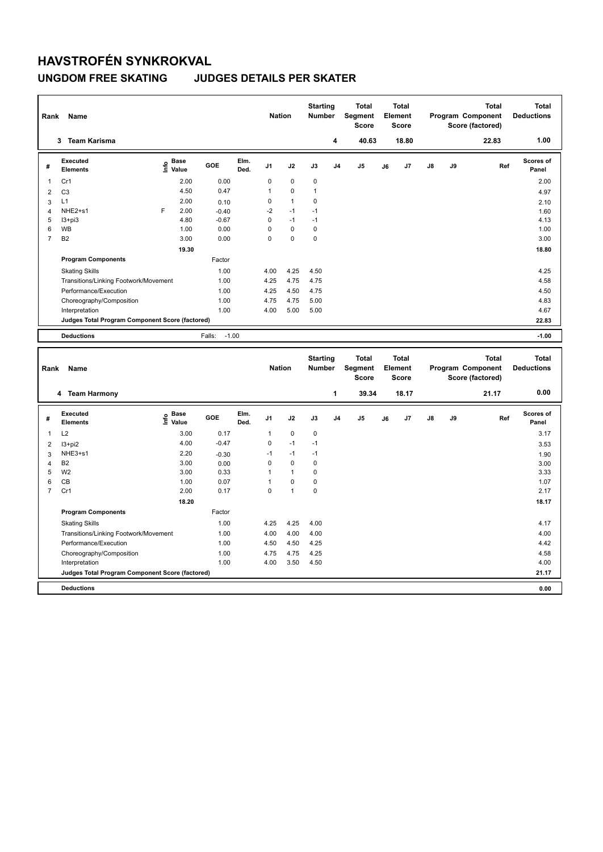## **HAVSTROFÉN SYNKROKVAL**

#### **UNGDOM FREE SKATING JUDGES DETAILS PER SKATER**

| Rank                | Name                                                           |                                  |                   |              | <b>Nation</b>  |              | <b>Starting</b><br><b>Number</b> |                | <b>Total</b><br>Segment<br><b>Score</b> |    | <b>Total</b><br>Element<br><b>Score</b> |               |    | <b>Total</b><br>Program Component<br>Score (factored)        |     | <b>Total</b><br><b>Deductions</b> |
|---------------------|----------------------------------------------------------------|----------------------------------|-------------------|--------------|----------------|--------------|----------------------------------|----------------|-----------------------------------------|----|-----------------------------------------|---------------|----|--------------------------------------------------------------|-----|-----------------------------------|
|                     | 3 Team Karisma                                                 |                                  |                   |              |                |              |                                  | 4              | 40.63                                   |    | 18.80                                   |               |    | 22.83                                                        |     | 1.00                              |
| #                   | <b>Executed</b><br><b>Elements</b>                             | <b>Base</b><br>e Base<br>⊆ Value | GOE               | Elm.<br>Ded. | J <sub>1</sub> | J2           | J3                               | J <sub>4</sub> | J <sub>5</sub>                          | J6 | J7                                      | $\mathsf{J}8$ | J9 |                                                              | Ref | Scores of<br>Panel                |
| 1                   | Cr1                                                            | 2.00                             | 0.00              |              | 0              | $\mathbf 0$  | 0                                |                |                                         |    |                                         |               |    |                                                              |     | 2.00                              |
| $\overline{2}$      | C <sub>3</sub>                                                 | 4.50                             | 0.47              |              | $\mathbf{1}$   | $\mathbf 0$  | $\mathbf{1}$                     |                |                                         |    |                                         |               |    |                                                              |     | 4.97                              |
| 3                   | L1                                                             | 2.00                             | 0.10              |              | $\mathbf 0$    | $\mathbf{1}$ | 0                                |                |                                         |    |                                         |               |    |                                                              |     | 2.10                              |
| $\overline{4}$      | NHE2+s1                                                        | F<br>2.00                        | $-0.40$           |              | $-2$           | $-1$         | $-1$                             |                |                                         |    |                                         |               |    |                                                              |     | 1.60                              |
| 5                   | $13 + pi3$                                                     | 4.80                             | $-0.67$           |              | $\mathbf 0$    | $-1$         | $-1$                             |                |                                         |    |                                         |               |    |                                                              |     | 4.13                              |
| 6                   | WB                                                             | 1.00                             | 0.00              |              | $\mathbf 0$    | $\pmb{0}$    | $\mathbf 0$                      |                |                                         |    |                                         |               |    |                                                              |     | 1.00                              |
| $\overline{7}$      | B <sub>2</sub>                                                 | 3.00                             | 0.00              |              | $\mathbf 0$    | $\mathbf 0$  | 0                                |                |                                         |    |                                         |               |    |                                                              |     | 3.00                              |
|                     |                                                                | 19.30                            |                   |              |                |              |                                  |                |                                         |    |                                         |               |    |                                                              |     | 18.80                             |
|                     | <b>Program Components</b>                                      |                                  | Factor            |              |                |              |                                  |                |                                         |    |                                         |               |    |                                                              |     |                                   |
|                     | <b>Skating Skills</b>                                          |                                  | 1.00              |              | 4.00           | 4.25         | 4.50                             |                |                                         |    |                                         |               |    |                                                              |     | 4.25                              |
|                     | Transitions/Linking Footwork/Movement                          |                                  | 1.00              |              | 4.25           | 4.75         | 4.75                             |                |                                         |    |                                         |               |    |                                                              |     | 4.58                              |
|                     | Performance/Execution                                          |                                  | 1.00              |              | 4.25           | 4.50         | 4.75                             |                |                                         |    |                                         |               |    |                                                              |     | 4.50                              |
|                     | Choreography/Composition                                       |                                  | 1.00              |              | 4.75           | 4.75         | 5.00                             |                |                                         |    |                                         |               |    |                                                              |     | 4.83                              |
|                     | Interpretation                                                 |                                  | 1.00              |              | 4.00           | 5.00         | 5.00                             |                |                                         |    |                                         |               |    |                                                              |     | 4.67                              |
|                     | Judges Total Program Component Score (factored)                |                                  |                   |              |                |              |                                  |                |                                         |    |                                         |               |    |                                                              |     | 22.83                             |
|                     |                                                                |                                  |                   |              |                |              |                                  |                |                                         |    |                                         |               |    |                                                              |     |                                   |
|                     |                                                                |                                  |                   |              |                |              |                                  |                |                                         |    |                                         |               |    |                                                              |     |                                   |
|                     | <b>Deductions</b>                                              |                                  | $-1.00$<br>Falls: |              |                |              |                                  |                |                                         |    |                                         |               |    |                                                              |     | $-1.00$                           |
| Rank                | Name                                                           |                                  |                   |              | <b>Nation</b>  |              | <b>Starting</b><br><b>Number</b> |                | <b>Total</b><br>Segment<br><b>Score</b> |    | <b>Total</b><br>Element<br><b>Score</b> |               |    | <b>Total</b><br><b>Program Component</b><br>Score (factored) |     | <b>Total</b><br><b>Deductions</b> |
|                     | 4 Team Harmony                                                 |                                  |                   |              |                |              |                                  | $\mathbf{1}$   | 39.34                                   |    | 18.17                                   |               |    | 21.17                                                        |     | 0.00                              |
| #                   | <b>Executed</b><br><b>Elements</b>                             | e Base<br>E Value                | GOE               | Elm.<br>Ded. | J1             | J2           | J3                               | J <sub>4</sub> | J <sub>5</sub>                          | J6 | J7                                      | $\mathsf{J}8$ | J9 |                                                              | Ref | <b>Scores of</b><br>Panel         |
| $\mathbf{1}$        | L2                                                             | 3.00                             | 0.17              |              | 1              | 0            | 0                                |                |                                         |    |                                         |               |    |                                                              |     | 3.17                              |
|                     |                                                                | 4.00                             | $-0.47$           |              | $\mathbf 0$    | $-1$         | $-1$                             |                |                                         |    |                                         |               |    |                                                              |     |                                   |
| 2                   | $13 + pi2$<br>NHE3+s1                                          | 2.20                             |                   |              | $-1$           | $-1$         | $-1$                             |                |                                         |    |                                         |               |    |                                                              |     | 3.53                              |
| 3                   | <b>B2</b>                                                      | 3.00                             | $-0.30$           |              | $\mathbf 0$    | $\mathbf 0$  | $\mathbf 0$                      |                |                                         |    |                                         |               |    |                                                              |     | 1.90                              |
| $\overline{4}$<br>5 | W <sub>2</sub>                                                 | 3.00                             | 0.00<br>0.33      |              | $\mathbf{1}$   | $\mathbf{1}$ | 0                                |                |                                         |    |                                         |               |    |                                                              |     | 3.00<br>3.33                      |
| 6                   | CB                                                             | 1.00                             | 0.07              |              | $\mathbf{1}$   | 0            | 0                                |                |                                         |    |                                         |               |    |                                                              |     |                                   |
| $\overline{7}$      | Cr1                                                            | 2.00                             | 0.17              |              | $\mathbf 0$    | $\mathbf{1}$ | 0                                |                |                                         |    |                                         |               |    |                                                              |     | 1.07<br>2.17                      |
|                     |                                                                |                                  |                   |              |                |              |                                  |                |                                         |    |                                         |               |    |                                                              |     |                                   |
|                     |                                                                | 18.20                            |                   |              |                |              |                                  |                |                                         |    |                                         |               |    |                                                              |     | 18.17                             |
|                     | <b>Program Components</b>                                      |                                  | Factor            |              |                |              |                                  |                |                                         |    |                                         |               |    |                                                              |     |                                   |
|                     | <b>Skating Skills</b><br>Transitions/Linking Footwork/Movement |                                  | 1.00<br>1.00      |              | 4.25<br>4.00   | 4.25<br>4.00 | 4.00<br>4.00                     |                |                                         |    |                                         |               |    |                                                              |     | 4.17<br>4.00                      |

Performance/Execution 1.00 4.50 4.50 4.25 Choreography/Composition 1.00 4.75 4.75 4.25 4.58 Interpretation 1.00 4.00 3.50 4.50 4.00 **Deductions 0.00 Judges Total Program Component Score (factored) 21.17**